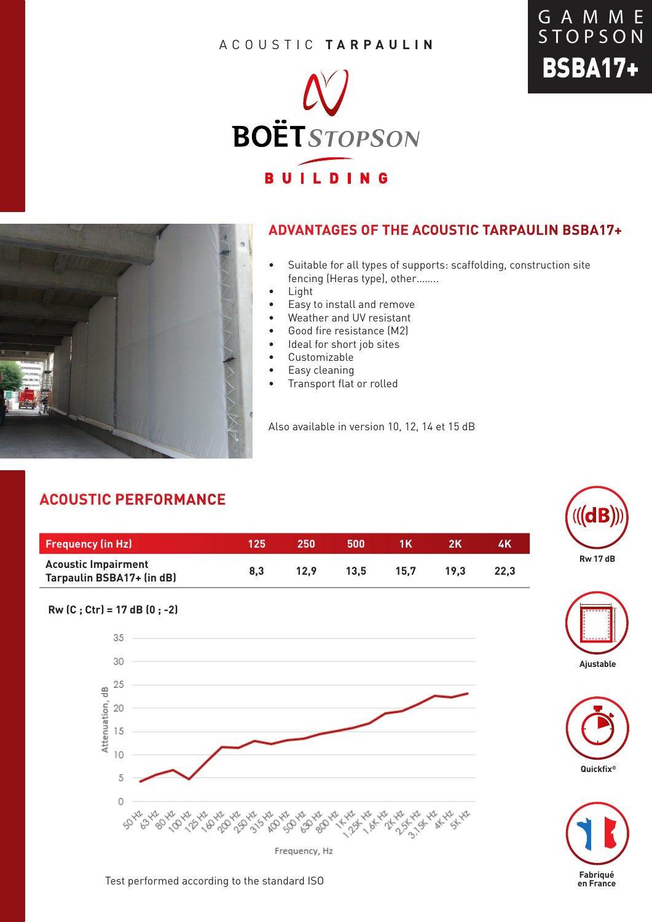#### ACOUSTIC **TARPAULIN**





#### **ADVANTAGES OF THE ACOUSTIC TARPAULIN BSBA17+**

- Suitable for all types of supports: scaffolding, construction site fencing (Heras type), other……..
- Light
- Easy to install and remove
- Weather and UV resistant
- Good fire resistance (M2)
- Ideal for short job sites
- Customizable
- Easy cleaning
- Transport flat or rolled

Also available in version 10, 12, 14 et 15 dB

## **ACOUSTIC PERFORMANCE**

| <b>Frequency (in Hz)</b>                                | 125 | 250  | 500  | 1 K  |      | 4K   |
|---------------------------------------------------------|-----|------|------|------|------|------|
| <b>Acoustic Impairment</b><br>Tarpaulin BSBA17+ (in dB) | 8.3 | 12.9 | 13.5 | 15.7 | 19.3 | 22.3 |





GAMME **STOPSON** 

BSBA17+







Test performed according to the standard ISO